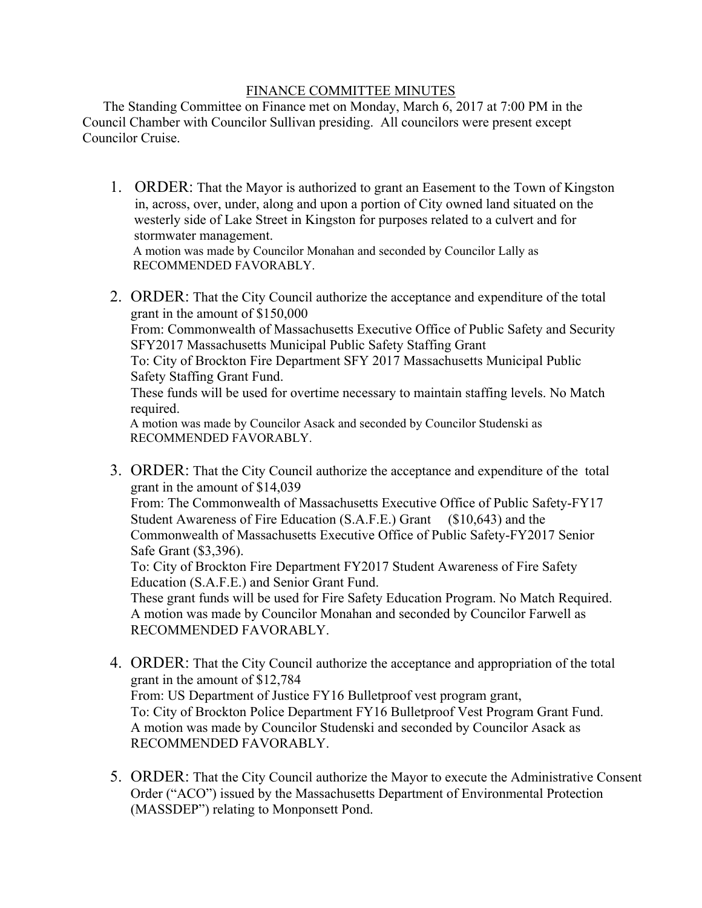## FINANCE COMMITTEE MINUTES

 The Standing Committee on Finance met on Monday, March 6, 2017 at 7:00 PM in the Council Chamber with Councilor Sullivan presiding. All councilors were present except Councilor Cruise.

- 1. ORDER: That the Mayor is authorized to grant an Easement to the Town of Kingston in, across, over, under, along and upon a portion of City owned land situated on the westerly side of Lake Street in Kingston for purposes related to a culvert and for stormwater management. A motion was made by Councilor Monahan and seconded by Councilor Lally as RECOMMENDED FAVORABLY.
- 2. ORDER: That the City Council authorize the acceptance and expenditure of the total grant in the amount of \$150,000 From: Commonwealth of Massachusetts Executive Office of Public Safety and Security SFY2017 Massachusetts Municipal Public Safety Staffing Grant To: City of Brockton Fire Department SFY 2017 Massachusetts Municipal Public Safety Staffing Grant Fund. These funds will be used for overtime necessary to maintain staffing levels. No Match required. A motion was made by Councilor Asack and seconded by Councilor Studenski as RECOMMENDED FAVORABLY.
- 3. ORDER: That the City Council authorize the acceptance and expenditure of the total grant in the amount of \$14,039 From: The Commonwealth of Massachusetts Executive Office of Public Safety-FY17 Student Awareness of Fire Education (S.A.F.E.) Grant (\$10,643) and the Commonwealth of Massachusetts Executive Office of Public Safety-FY2017 Senior Safe Grant (\$3,396). To: City of Brockton Fire Department FY2017 Student Awareness of Fire Safety Education (S.A.F.E.) and Senior Grant Fund. These grant funds will be used for Fire Safety Education Program. No Match Required. A motion was made by Councilor Monahan and seconded by Councilor Farwell as RECOMMENDED FAVORABLY.
- 4. ORDER: That the City Council authorize the acceptance and appropriation of the total grant in the amount of \$12,784 From: US Department of Justice FY16 Bulletproof vest program grant, To: City of Brockton Police Department FY16 Bulletproof Vest Program Grant Fund. A motion was made by Councilor Studenski and seconded by Councilor Asack as RECOMMENDED FAVORABLY.
- 5. ORDER: That the City Council authorize the Mayor to execute the Administrative Consent Order ("ACO") issued by the Massachusetts Department of Environmental Protection (MASSDEP") relating to Monponsett Pond.